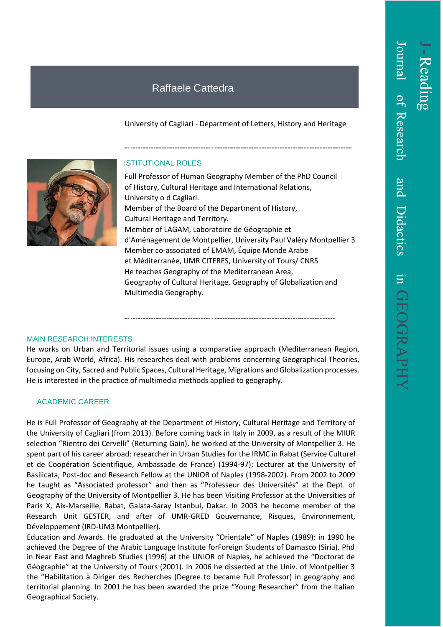## Raffaele Cattedra

University of Cagliari - Department of Letters, History and Heritage



## ISTITUTIONAL ROLES

Full Professor of Human Geography Member of the PhD Council of History, Cultural Heritage and International Relations, University o d Cagliari. Member of the Board of the Department of History, Cultural Heritage and Territory. Member of LAGAM, Laboratoire de Géographie et d'Aménagement de Montpellier, University Paul Valéry Montpellier 3 Member co-associated of EMAM, Équipe Monde Arabe et Méditerranée, UMR CITERES, University of Tours/ CNRS He teaches Geography of the Mediterranean Area, Geography of Cultural Heritage, Geography of Globalization and Multimedia Geography.

## MAIN RESEARCH INTERESTS

He works on Urban and Territorial issues using a comparative approach (Mediterranean Region, Europe, Arab World, Africa). His researches deal with problems concerning Geographical Theories, focusing on City, Sacred and Public Spaces, Cultural Heritage, Migrations and Globalization processes. He is interested in the practice of multimedia methods applied to geography.

## ACADEMIC CAREER

He is Full Professor of Geography at the Department of History, Cultural Heritage and Territory of the University of Cagliari (from 2013). Before coming back in Italy in 2009, as a result of the MIUR selection "Rientro dei Cervelli" (Returning Gain), he worked at the University of Montpellier 3. He spent part of his career abroad: researcher in Urban Studies for the IRMC in Rabat (Service Culturel et de Coopération Scientifique, Ambassade de France) (1994-97); Lecturer at the University of Basilicata, Post-doc and Research Fellow at the UNIOR of Naples (1998-2002). From 2002 to 2009 he taught as "Associated professor" and then as "Professeur des Universités" at the Dept. of Geography of the University of Montpellier 3. He has been Visiting Professor at the Universities of Paris X, Aix-Marseille, Rabat, Galata-Saray Istanbul, Dakar. In 2003 he become member of the Research Unit GESTER, and after of UMR-GRED Gouvernance, Risques, Environnement, Développement (IRD-UM3 Montpellier).

Education and Awards. He graduated at the University "Orientale" of Naples (1989); in 1990 he achieved the Degree of the Arabic Language Institute forForeign Students of Damasco (Siria). Phd in Near East and Maghreb Studies (1996) at the UNIOR of Naples, he achieved the "Doctorat de Géographie" at the University of Tours (2001). In 2006 he disserted at the Univ. of Montpellier 3 the "Habilitation à Diriger des Recherches (Degree to became Full Professor) in geography and territorial planning. In 2001 he has been awarded the prize "Young Researcher" from the Italian Geographical Society.